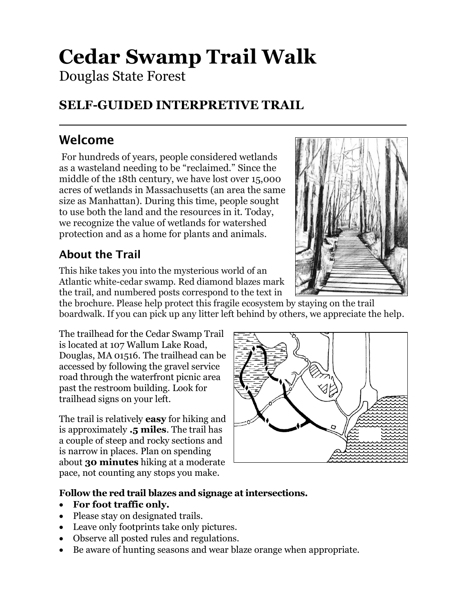# **Cedar Swamp Trail Walk**

Douglas State Forest

# **SELF-GUIDED INTERPRETIVE TRAIL**

# Welcome

For hundreds of years, people considered wetlands as a wasteland needing to be "reclaimed." Since the middle of the 18th century, we have lost over 15,000 acres of wetlands in Massachusetts (an area the same size as Manhattan). During this time, people sought to use both the land and the resources in it. Today, we recognize the value of wetlands for watershed protection and as a home for plants and animals.

## About the Trail

This hike takes you into the mysterious world of an Atlantic white-cedar swamp. Red diamond blazes mark the trail, and numbered posts correspond to the text in



the brochure. Please help protect this fragile ecosystem by staying on the trail boardwalk. If you can pick up any litter left behind by others, we appreciate the help.

The trailhead for the Cedar Swamp Trail is located at 107 Wallum Lake Road, Douglas, MA 01516. The trailhead can be accessed by following the gravel service road through the waterfront picnic area past the restroom building. Look for trailhead signs on your left.

The trail is relatively **easy** for hiking and is approximately **.5 miles**. The trail has a couple of steep and rocky sections and is narrow in places. Plan on spending about **30 minutes** hiking at a moderate pace, not counting any stops you make.



#### **Follow the red trail blazes and signage at intersections.**

- **For foot traffic only.**
- Please stay on designated trails.
- Leave only footprints take only pictures.
- Observe all posted rules and regulations.
- Be aware of hunting seasons and wear blaze orange when appropriate.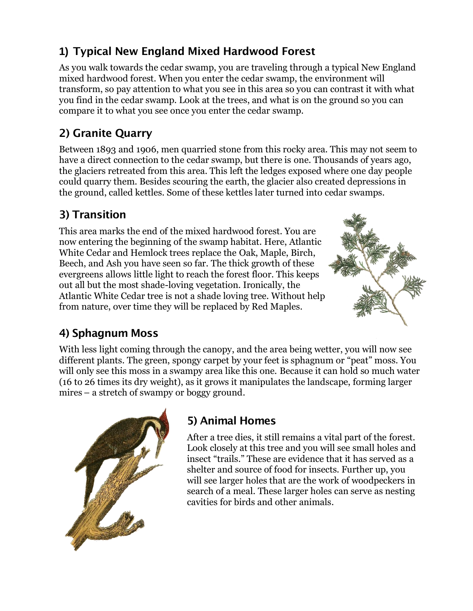## **1)** Typical New England Mixed Hardwood Forest

As you walk towards the cedar swamp, you are traveling through a typical New England mixed hardwood forest. When you enter the cedar swamp, the environment will transform, so pay attention to what you see in this area so you can contrast it with what you find in the cedar swamp. Look at the trees, and what is on the ground so you can compare it to what you see once you enter the cedar swamp.

## 2) Granite Quarry

Between 1893 and 1906, men quarried stone from this rocky area. This may not seem to have a direct connection to the cedar swamp, but there is one. Thousands of years ago, the glaciers retreated from this area. This left the ledges exposed where one day people could quarry them. Besides scouring the earth, the glacier also created depressions in the ground, called kettles. Some of these kettles later turned into cedar swamps.

## 3) Transition

This area marks the end of the mixed hardwood forest. You are now entering the beginning of the swamp habitat. Here, Atlantic White Cedar and Hemlock trees replace the Oak, Maple, Birch, Beech, and Ash you have seen so far. The thick growth of these evergreens allows little light to reach the forest floor. This keeps out all but the most shade-loving vegetation. Ironically, the Atlantic White Cedar tree is not a shade loving tree. Without help from nature, over time they will be replaced by Red Maples.



#### 4) Sphagnum Moss

With less light coming through the canopy, and the area being wetter, you will now see different plants. The green, spongy carpet by your feet is sphagnum or "peat" moss. You will only see this moss in a swampy area like this one. Because it can hold so much water (16 to 26 times its dry weight), as it grows it manipulates the landscape, forming larger mires – a stretch of swampy or boggy ground.



# 5) Animal Homes

After a tree dies, it still remains a vital part of the forest. Look closely at this tree and you will see small holes and insect "trails." These are evidence that it has served as a shelter and source of food for insects. Further up, you will see larger holes that are the work of woodpeckers in search of a meal. These larger holes can serve as nesting cavities for birds and other animals.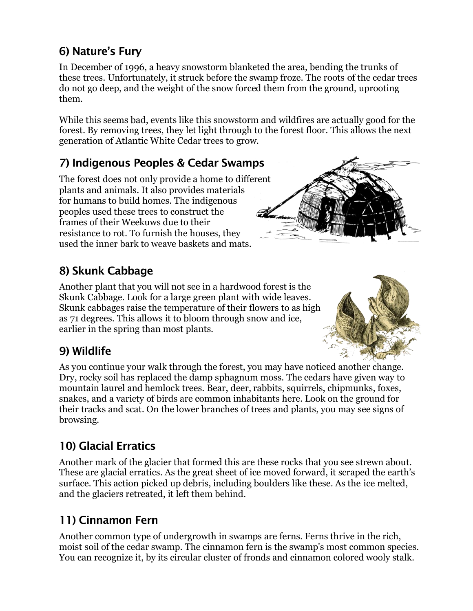#### 6) Nature's Fury

In December of 1996, a heavy snowstorm blanketed the area, bending the trunks of these trees. Unfortunately, it struck before the swamp froze. The roots of the cedar trees do not go deep, and the weight of the snow forced them from the ground, uprooting them.

While this seems bad, events like this snowstorm and wildfires are actually good for the forest. By removing trees, they let light through to the forest floor. This allows the next generation of Atlantic White Cedar trees to grow.

#### 7) Indigenous Peoples & Cedar Swamps

The forest does not only provide a home to different plants and animals. It also provides materials for humans to build homes. The indigenous peoples used these trees to construct the frames of their Weekuws due to their resistance to rot. To furnish the houses, they used the inner bark to weave baskets and mats.

## 8) Skunk Cabbage

Another plant that you will not see in a hardwood forest is the Skunk Cabbage. Look for a large green plant with wide leaves. Skunk cabbages raise the temperature of their flowers to as high as 71 degrees. This allows it to bloom through snow and ice, earlier in the spring than most plants.

#### 9) Wildlife

As you continue your walk through the forest, you may have noticed another change. Dry, rocky soil has replaced the damp sphagnum moss. The cedars have given way to mountain laurel and hemlock trees. Bear, deer, rabbits, squirrels, chipmunks, foxes, snakes, and a variety of birds are common inhabitants here. Look on the ground for their tracks and scat. On the lower branches of trees and plants, you may see signs of browsing.

## 10) Glacial Erratics

Another mark of the glacier that formed this are these rocks that you see strewn about. These are glacial erratics. As the great sheet of ice moved forward, it scraped the earth's surface. This action picked up debris, including boulders like these. As the ice melted, and the glaciers retreated, it left them behind.

#### 11) Cinnamon Fern

Another common type of undergrowth in swamps are ferns. Ferns thrive in the rich, moist soil of the cedar swamp. The cinnamon fern is the swamp's most common species. You can recognize it, by its circular cluster of fronds and cinnamon colored wooly stalk.